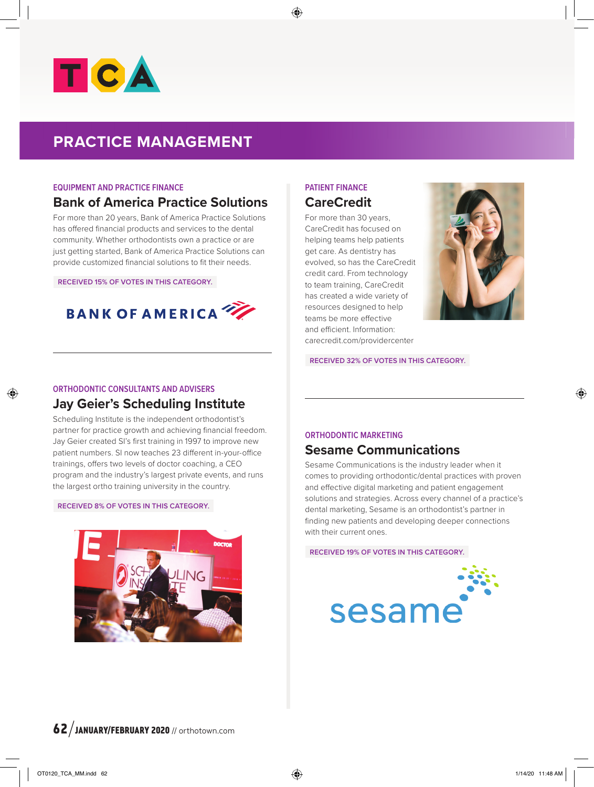

# **PRACTICE MANAGEMENT**

### **EQUIPMENT AND PRACTICE FINANCE**

# **Bank of America Practice Solutions**

For more than 20 years, Bank of America Practice Solutions has offered financial products and services to the dental community. Whether orthodontists own a practice or are just getting started, Bank of America Practice Solutions can provide customized financial solutions to fit their needs.

**RECEIVED 15% OF VOTES IN THIS CATEGORY.**



# **PATIENT FINANCE CareCredit**

For more than 30 years, CareCredit has focused on helping teams help patients get care. As dentistry has evolved, so has the CareCredit credit card. From technology to team training, CareCredit has created a wide variety of resources designed to help teams be more effective and efficient. Information: carecredit.com/providercenter



**RECEIVED 32% OF VOTES IN THIS CATEGORY.**

## **ORTHODONTIC CONSULTANTS AND ADVISERS Jay Geier's Scheduling Institute**

Scheduling Institute is the independent orthodontist's partner for practice growth and achieving financial freedom. Jay Geier created SI's first training in 1997 to improve new patient numbers. SI now teaches 23 different in-your-office trainings, offers two levels of doctor coaching, a CEO program and the industry's largest private events, and runs the largest ortho training university in the country.

#### **RECEIVED 8% OF VOTES IN THIS CATEGORY.**



## **ORTHODONTIC MARKETING**

## **Sesame Communications**

Sesame Communications is the industry leader when it comes to providing orthodontic/dental practices with proven and effective digital marketing and patient engagement solutions and strategies. Across every channel of a practice's dental marketing, Sesame is an orthodontist's partner in finding new patients and developing deeper connections with their current ones.

**RECEIVED 19% OF VOTES IN THIS CATEGORY.**